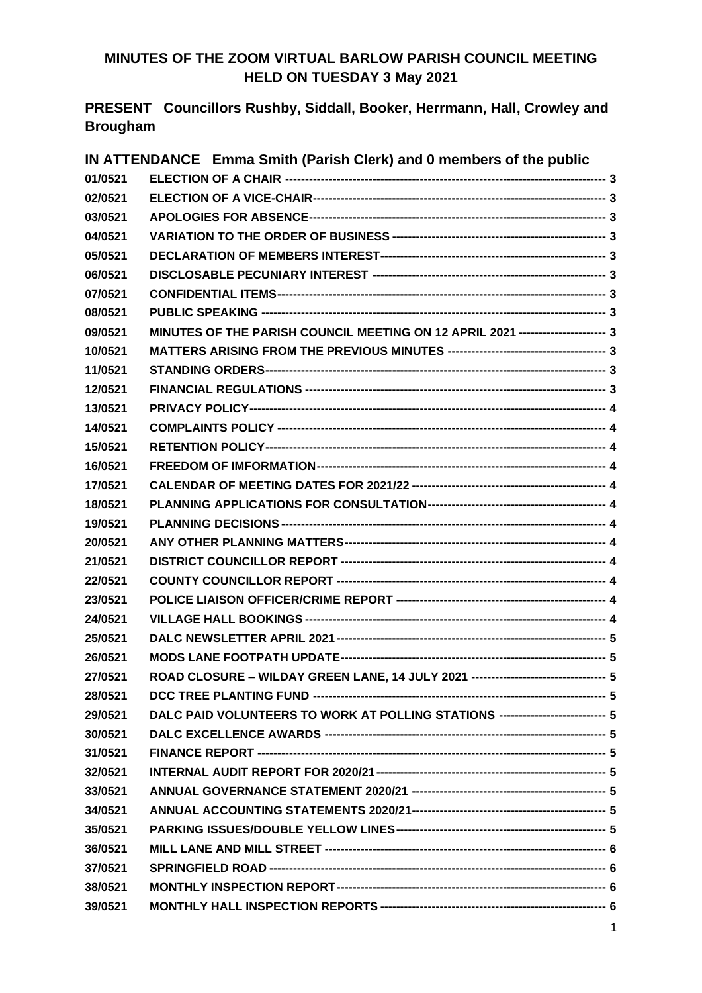# **MINUTES OF THE ZOOM VIRTUAL BARLOW PARISH COUNCIL MEETING HELD ON TUESDAY 3 May 2021**

**PRESENT Councillors Rushby, Siddall, Booker, Herrmann, Hall, Crowley and Brougham**

|         | IN ATTENDANCE Emma Smith (Parish Clerk) and 0 members of the public                |  |
|---------|------------------------------------------------------------------------------------|--|
| 01/0521 |                                                                                    |  |
| 02/0521 |                                                                                    |  |
| 03/0521 |                                                                                    |  |
| 04/0521 |                                                                                    |  |
| 05/0521 |                                                                                    |  |
| 06/0521 |                                                                                    |  |
| 07/0521 |                                                                                    |  |
| 08/0521 |                                                                                    |  |
| 09/0521 | MINUTES OF THE PARISH COUNCIL MEETING ON 12 APRIL 2021 --------------------- 3     |  |
| 10/0521 |                                                                                    |  |
| 11/0521 |                                                                                    |  |
| 12/0521 |                                                                                    |  |
| 13/0521 |                                                                                    |  |
| 14/0521 |                                                                                    |  |
| 15/0521 |                                                                                    |  |
| 16/0521 |                                                                                    |  |
| 17/0521 |                                                                                    |  |
| 18/0521 |                                                                                    |  |
| 19/0521 |                                                                                    |  |
| 20/0521 |                                                                                    |  |
| 21/0521 |                                                                                    |  |
| 22/0521 |                                                                                    |  |
| 23/0521 |                                                                                    |  |
| 24/0521 |                                                                                    |  |
| 25/0521 |                                                                                    |  |
| 26/0521 |                                                                                    |  |
| 27/0521 | ROAD CLOSURE - WILDAY GREEN LANE, 14 JULY 2021 --------------------------------- 5 |  |
| 28/0521 |                                                                                    |  |
| 29/0521 | DALC PAID VOLUNTEERS TO WORK AT POLLING STATIONS -------------------------- 5      |  |
| 30/0521 |                                                                                    |  |
| 31/0521 |                                                                                    |  |
| 32/0521 |                                                                                    |  |
| 33/0521 |                                                                                    |  |
| 34/0521 |                                                                                    |  |
| 35/0521 |                                                                                    |  |
| 36/0521 |                                                                                    |  |
| 37/0521 |                                                                                    |  |
| 38/0521 |                                                                                    |  |
| 39/0521 |                                                                                    |  |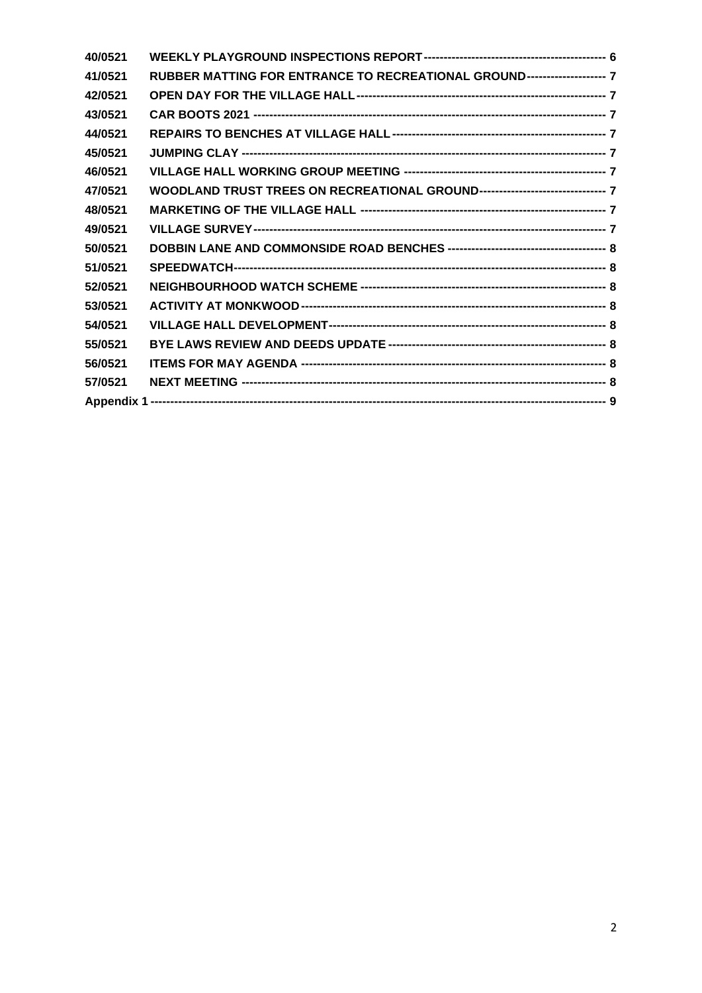| 40/0521 |                                                                               |  |
|---------|-------------------------------------------------------------------------------|--|
| 41/0521 | RUBBER MATTING FOR ENTRANCE TO RECREATIONAL GROUND-------------------- 7      |  |
| 42/0521 |                                                                               |  |
| 43/0521 |                                                                               |  |
| 44/0521 |                                                                               |  |
| 45/0521 |                                                                               |  |
| 46/0521 |                                                                               |  |
| 47/0521 | WOODLAND TRUST TREES ON RECREATIONAL GROUND-------------------------------- 7 |  |
| 48/0521 |                                                                               |  |
| 49/0521 |                                                                               |  |
| 50/0521 |                                                                               |  |
| 51/0521 |                                                                               |  |
| 52/0521 |                                                                               |  |
| 53/0521 |                                                                               |  |
| 54/0521 |                                                                               |  |
| 55/0521 |                                                                               |  |
| 56/0521 |                                                                               |  |
| 57/0521 |                                                                               |  |
|         |                                                                               |  |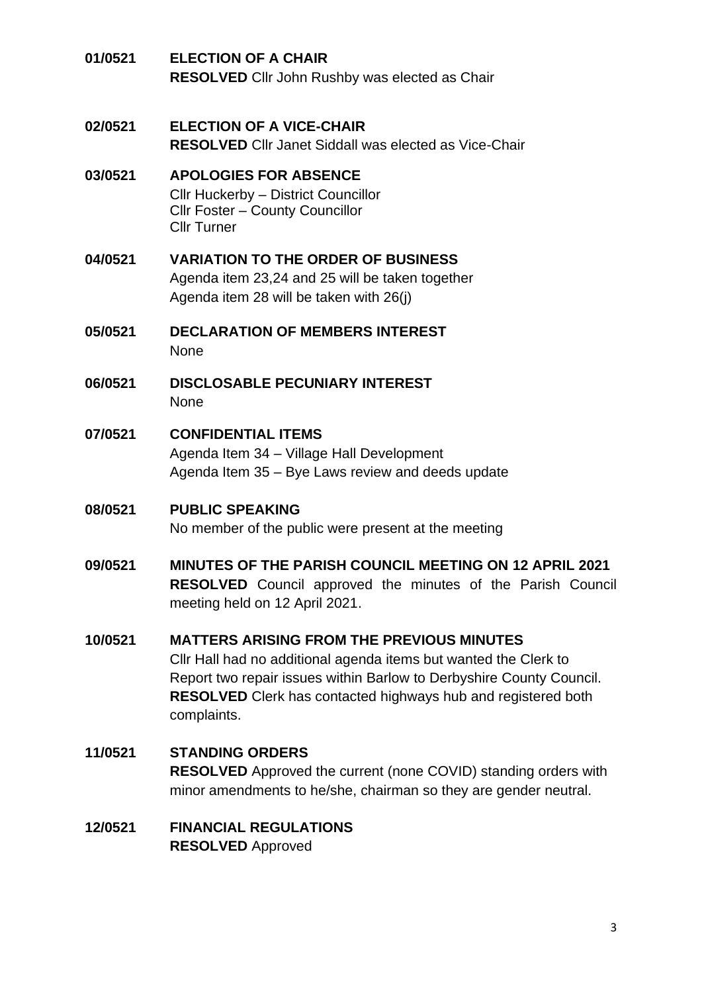<span id="page-2-9"></span><span id="page-2-8"></span><span id="page-2-7"></span><span id="page-2-6"></span><span id="page-2-5"></span><span id="page-2-4"></span><span id="page-2-3"></span><span id="page-2-2"></span><span id="page-2-1"></span><span id="page-2-0"></span>

| 01/0521 | <b>ELECTION OF A CHAIR</b><br><b>RESOLVED</b> Cllr John Rushby was elected as Chair                                                                                                                                                                                                 |
|---------|-------------------------------------------------------------------------------------------------------------------------------------------------------------------------------------------------------------------------------------------------------------------------------------|
| 02/0521 | <b>ELECTION OF A VICE-CHAIR</b><br><b>RESOLVED</b> Cllr Janet Siddall was elected as Vice-Chair                                                                                                                                                                                     |
| 03/0521 | <b>APOLOGIES FOR ABSENCE</b><br>Cllr Huckerby - District Councillor<br>Cllr Foster - County Councillor<br><b>Cllr Turner</b>                                                                                                                                                        |
| 04/0521 | <b>VARIATION TO THE ORDER OF BUSINESS</b><br>Agenda item 23,24 and 25 will be taken together<br>Agenda item 28 will be taken with 26(j)                                                                                                                                             |
| 05/0521 | <b>DECLARATION OF MEMBERS INTEREST</b><br>None                                                                                                                                                                                                                                      |
| 06/0521 | <b>DISCLOSABLE PECUNIARY INTEREST</b><br><b>None</b>                                                                                                                                                                                                                                |
| 07/0521 | <b>CONFIDENTIAL ITEMS</b><br>Agenda Item 34 - Village Hall Development<br>Agenda Item 35 – Bye Laws review and deeds update                                                                                                                                                         |
| 08/0521 | <b>PUBLIC SPEAKING</b><br>No member of the public were present at the meeting                                                                                                                                                                                                       |
| 09/0521 | <b>MINUTES OF THE PARISH COUNCIL MEETING ON 12 APRIL 2021</b><br><b>RESOLVED</b> Council approved the minutes of the Parish Council<br>meeting held on 12 April 2021.                                                                                                               |
| 10/0521 | <b>MATTERS ARISING FROM THE PREVIOUS MINUTES</b><br>Cllr Hall had no additional agenda items but wanted the Clerk to<br>Report two repair issues within Barlow to Derbyshire County Council.<br><b>RESOLVED</b> Clerk has contacted highways hub and registered both<br>complaints. |
| 11/0521 | <b>STANDING ORDERS</b><br><b>RESOLVED</b> Approved the current (none COVID) standing orders with<br>minor amendments to he/she, chairman so they are gender neutral.                                                                                                                |
| 12/0521 | <b>FINANCIAL REGULATIONS</b><br><b>RESOLVED Approved</b>                                                                                                                                                                                                                            |

<span id="page-2-11"></span><span id="page-2-10"></span>3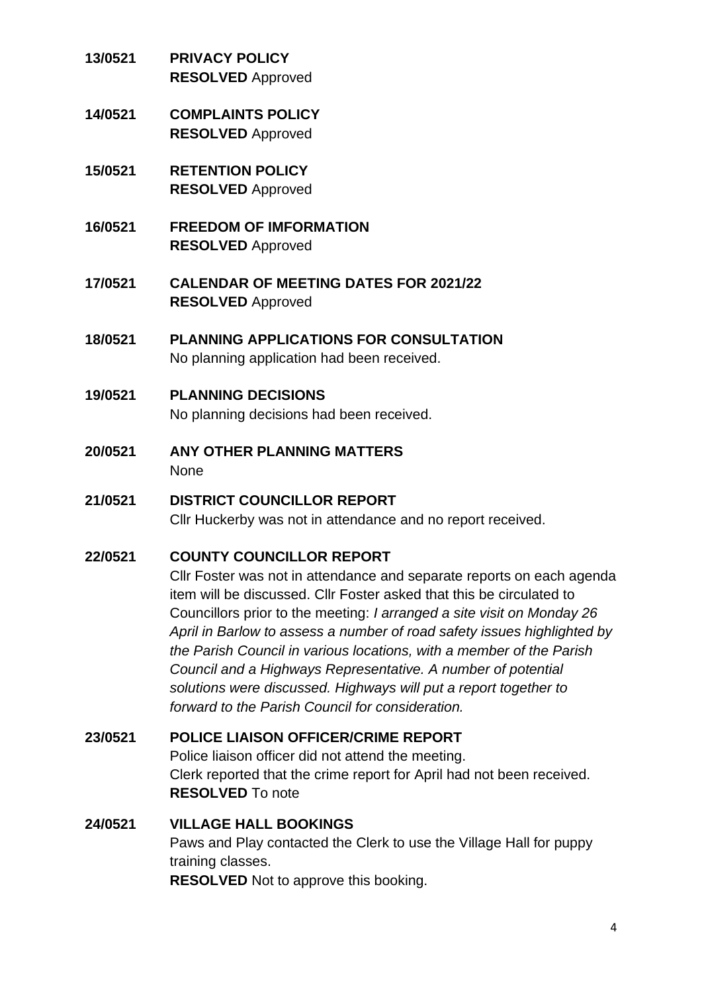- <span id="page-3-0"></span>**13/0521 PRIVACY POLICY RESOLVED** Approved
- <span id="page-3-1"></span>**14/0521 COMPLAINTS POLICY RESOLVED** Approved
- <span id="page-3-2"></span>**15/0521 RETENTION POLICY RESOLVED** Approved
- <span id="page-3-3"></span>**16/0521 FREEDOM OF IMFORMATION RESOLVED** Approved
- <span id="page-3-4"></span>**17/0521 CALENDAR OF MEETING DATES FOR 2021/22 RESOLVED** Approved
- <span id="page-3-5"></span>**18/0521 PLANNING APPLICATIONS FOR CONSULTATION** No planning application had been received.
- <span id="page-3-6"></span>**19/0521 PLANNING DECISIONS** No planning decisions had been received.
- <span id="page-3-7"></span>**20/0521 ANY OTHER PLANNING MATTERS** None
- <span id="page-3-8"></span>**21/0521 DISTRICT COUNCILLOR REPORT** Cllr Huckerby was not in attendance and no report received.

# <span id="page-3-9"></span>**22/0521 COUNTY COUNCILLOR REPORT**

Cllr Foster was not in attendance and separate reports on each agenda item will be discussed. Cllr Foster asked that this be circulated to Councillors prior to the meeting: *I arranged a site visit on Monday 26 April in Barlow to assess a number of road safety issues highlighted by the Parish Council in various locations, with a member of the Parish Council and a Highways Representative. A number of potential solutions were discussed. Highways will put a report together to forward to the Parish Council for consideration.*

#### <span id="page-3-10"></span>**23/0521 POLICE LIAISON OFFICER/CRIME REPORT**

Police liaison officer did not attend the meeting. Clerk reported that the crime report for April had not been received. **RESOLVED** To note

# <span id="page-3-11"></span>**24/0521 VILLAGE HALL BOOKINGS**

Paws and Play contacted the Clerk to use the Village Hall for puppy training classes.

**RESOLVED** Not to approve this booking.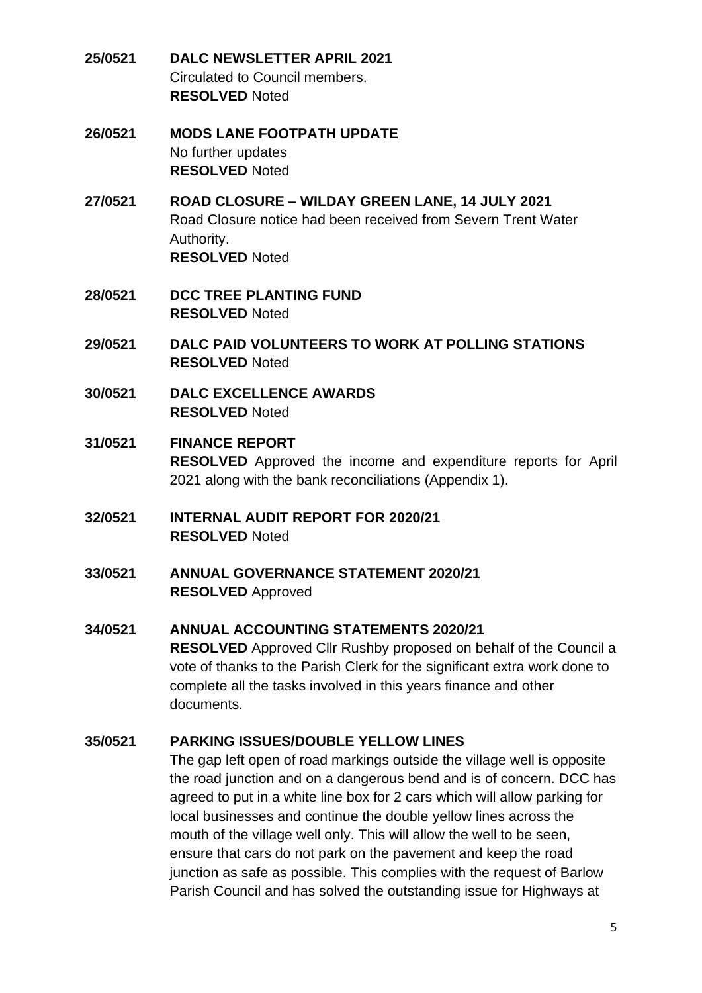- <span id="page-4-0"></span>**25/0521 DALC NEWSLETTER APRIL 2021** Circulated to Council members. **RESOLVED** Noted
- <span id="page-4-1"></span>**26/0521 MODS LANE FOOTPATH UPDATE** No further updates **RESOLVED** Noted
- <span id="page-4-2"></span>**27/0521 ROAD CLOSURE – WILDAY GREEN LANE, 14 JULY 2021** Road Closure notice had been received from Severn Trent Water Authority. **RESOLVED** Noted
- <span id="page-4-3"></span>**28/0521 DCC TREE PLANTING FUND RESOLVED** Noted
- <span id="page-4-4"></span>**29/0521 DALC PAID VOLUNTEERS TO WORK AT POLLING STATIONS RESOLVED** Noted
- <span id="page-4-5"></span>**30/0521 DALC EXCELLENCE AWARDS RESOLVED** Noted
- <span id="page-4-6"></span>**31/0521 FINANCE REPORT RESOLVED** Approved the income and expenditure reports for April 2021 along with the bank reconciliations (Appendix 1).
- <span id="page-4-7"></span>**32/0521 INTERNAL AUDIT REPORT FOR 2020/21 RESOLVED** Noted
- <span id="page-4-8"></span>**33/0521 ANNUAL GOVERNANCE STATEMENT 2020/21 RESOLVED** Approved
- <span id="page-4-9"></span>**34/0521 ANNUAL ACCOUNTING STATEMENTS 2020/21 RESOLVED** Approved Cllr Rushby proposed on behalf of the Council a vote of thanks to the Parish Clerk for the significant extra work done to complete all the tasks involved in this years finance and other documents.

# <span id="page-4-10"></span>**35/0521 PARKING ISSUES/DOUBLE YELLOW LINES**

The gap left open of road markings outside the village well is opposite the road junction and on a dangerous bend and is of concern. DCC has agreed to put in a white line box for 2 cars which will allow parking for local businesses and continue the double yellow lines across the mouth of the village well only. This will allow the well to be seen, ensure that cars do not park on the pavement and keep the road junction as safe as possible. This complies with the request of Barlow Parish Council and has solved the outstanding issue for Highways at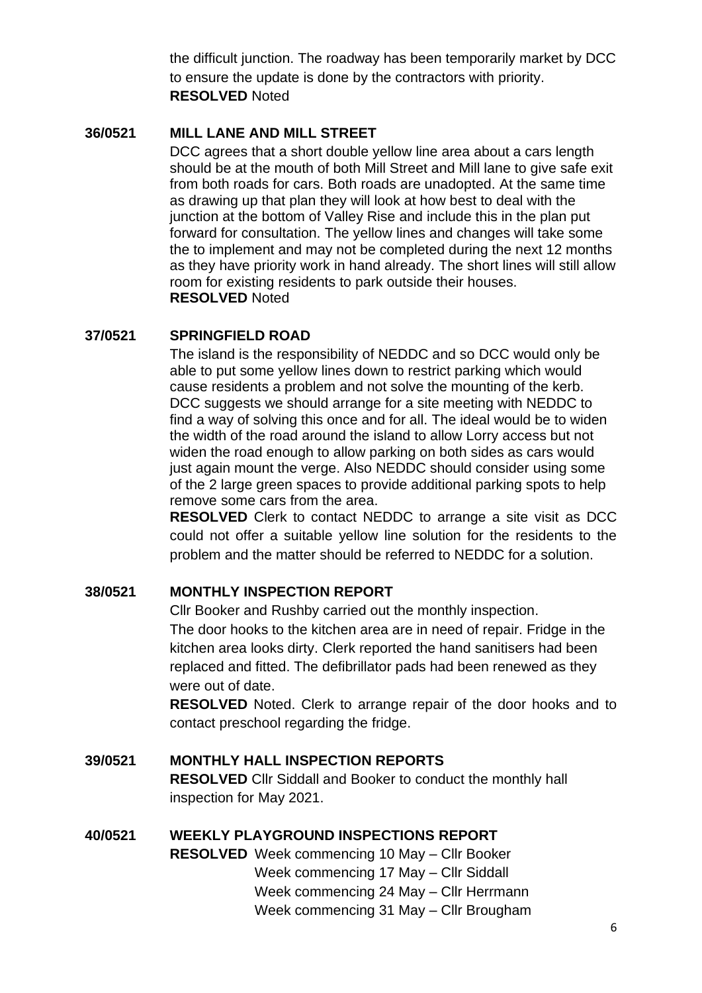the difficult junction. The roadway has been temporarily market by DCC to ensure the update is done by the contractors with priority. **RESOLVED** Noted

#### <span id="page-5-0"></span>**36/0521 MILL LANE AND MILL STREET**

DCC agrees that a short double yellow line area about a cars length should be at the mouth of both Mill Street and Mill lane to give safe exit from both roads for cars. Both roads are unadopted. At the same time as drawing up that plan they will look at how best to deal with the junction at the bottom of Valley Rise and include this in the plan put forward for consultation. The yellow lines and changes will take some the to implement and may not be completed during the next 12 months as they have priority work in hand already. The short lines will still allow room for existing residents to park outside their houses. **RESOLVED** Noted

#### <span id="page-5-1"></span>**37/0521 SPRINGFIELD ROAD**

The island is the responsibility of NEDDC and so DCC would only be able to put some yellow lines down to restrict parking which would cause residents a problem and not solve the mounting of the kerb. DCC suggests we should arrange for a site meeting with NEDDC to find a way of solving this once and for all. The ideal would be to widen the width of the road around the island to allow Lorry access but not widen the road enough to allow parking on both sides as cars would just again mount the verge. Also NEDDC should consider using some of the 2 large green spaces to provide additional parking spots to help remove some cars from the area.

**RESOLVED** Clerk to contact NEDDC to arrange a site visit as DCC could not offer a suitable yellow line solution for the residents to the problem and the matter should be referred to NEDDC for a solution.

#### <span id="page-5-2"></span>**38/0521 MONTHLY INSPECTION REPORT**

Cllr Booker and Rushby carried out the monthly inspection. The door hooks to the kitchen area are in need of repair. Fridge in the kitchen area looks dirty. Clerk reported the hand sanitisers had been replaced and fitted. The defibrillator pads had been renewed as they were out of date.

**RESOLVED** Noted. Clerk to arrange repair of the door hooks and to contact preschool regarding the fridge.

#### <span id="page-5-3"></span>**39/0521 MONTHLY HALL INSPECTION REPORTS RESOLVED** Cllr Siddall and Booker to conduct the monthly hall

inspection for May 2021.

#### <span id="page-5-4"></span>**40/0521 WEEKLY PLAYGROUND INSPECTIONS REPORT**

**RESOLVED** Week commencing 10 May – Cllr Booker Week commencing 17 May – Cllr Siddall Week commencing 24 May – Cllr Herrmann Week commencing 31 May – Cllr Brougham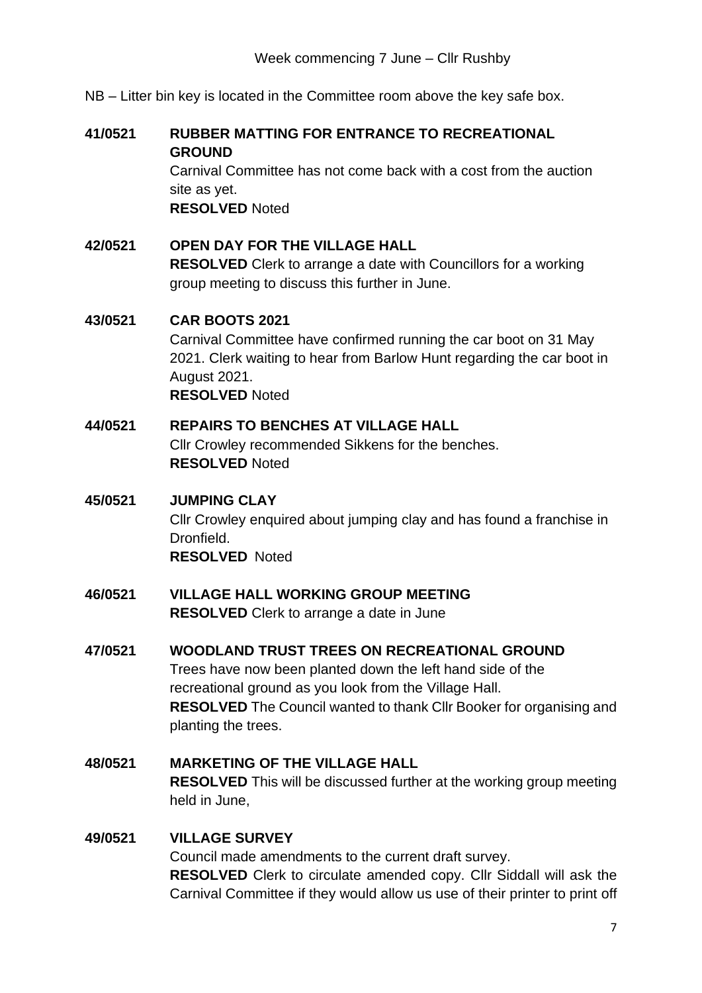NB – Litter bin key is located in the Committee room above the key safe box.

#### <span id="page-6-0"></span>**41/0521 RUBBER MATTING FOR ENTRANCE TO RECREATIONAL GROUND**

Carnival Committee has not come back with a cost from the auction site as yet. **RESOLVED** Noted

## <span id="page-6-1"></span>**42/0521 OPEN DAY FOR THE VILLAGE HALL**

**RESOLVED** Clerk to arrange a date with Councillors for a working group meeting to discuss this further in June.

#### <span id="page-6-2"></span>**43/0521 CAR BOOTS 2021**

Carnival Committee have confirmed running the car boot on 31 May 2021. Clerk waiting to hear from Barlow Hunt regarding the car boot in August 2021. **RESOLVED** Noted

#### <span id="page-6-3"></span>**44/0521 REPAIRS TO BENCHES AT VILLAGE HALL**

Cllr Crowley recommended Sikkens for the benches. **RESOLVED** Noted

#### <span id="page-6-4"></span>**45/0521 JUMPING CLAY**

Cllr Crowley enquired about jumping clay and has found a franchise in **Dronfield RESOLVED** Noted

#### <span id="page-6-5"></span>**46/0521 VILLAGE HALL WORKING GROUP MEETING RESOLVED** Clerk to arrange a date in June

# <span id="page-6-6"></span>**47/0521 WOODLAND TRUST TREES ON RECREATIONAL GROUND** Trees have now been planted down the left hand side of the recreational ground as you look from the Village Hall. **RESOLVED** The Council wanted to thank Cllr Booker for organising and planting the trees.

# <span id="page-6-7"></span>**48/0521 MARKETING OF THE VILLAGE HALL RESOLVED** This will be discussed further at the working group meeting held in June,

#### <span id="page-6-8"></span>**49/0521 VILLAGE SURVEY**

Council made amendments to the current draft survey. **RESOLVED** Clerk to circulate amended copy. Cllr Siddall will ask the Carnival Committee if they would allow us use of their printer to print off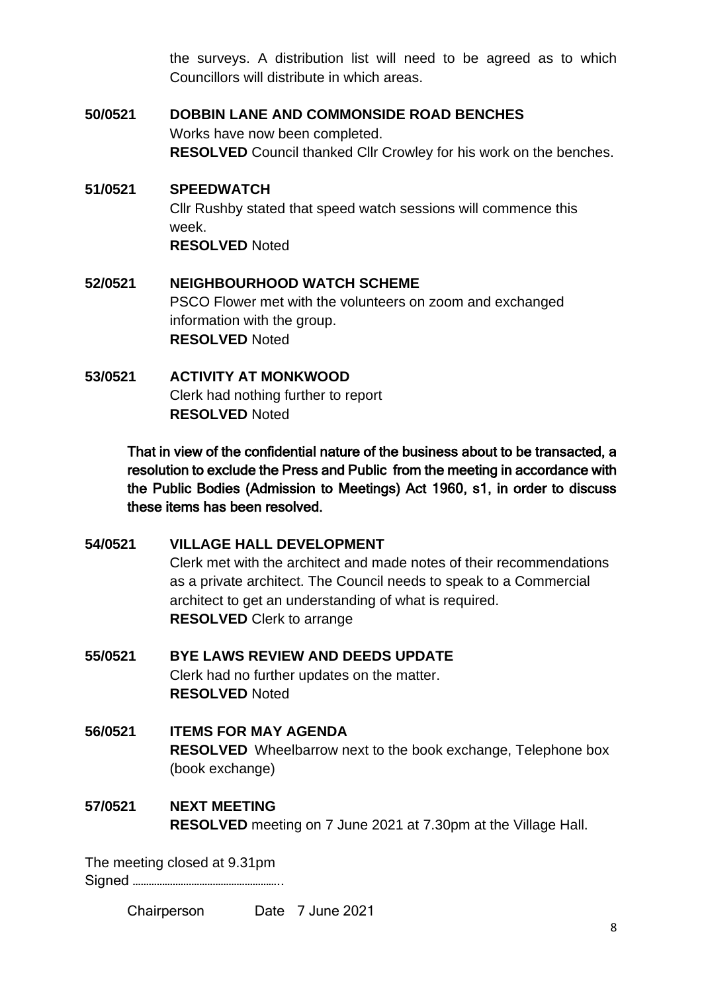the surveys. A distribution list will need to be agreed as to which Councillors will distribute in which areas.

#### <span id="page-7-0"></span>**50/0521 DOBBIN LANE AND COMMONSIDE ROAD BENCHES**

Works have now been completed. **RESOLVED** Council thanked Cllr Crowley for his work on the benches.

## <span id="page-7-1"></span>**51/0521 SPEEDWATCH**

Cllr Rushby stated that speed watch sessions will commence this week. **RESOLVED** Noted

# <span id="page-7-2"></span>**52/0521 NEIGHBOURHOOD WATCH SCHEME** PSCO Flower met with the volunteers on zoom and exchanged information with the group. **RESOLVED** Noted

<span id="page-7-3"></span>**53/0521 ACTIVITY AT MONKWOOD** Clerk had nothing further to report **RESOLVED** Noted

> That in view of the confidential nature of the business about to be transacted, a resolution to exclude the Press and Public from the meeting in accordance with the Public Bodies (Admission to Meetings) Act 1960, s1, in order to discuss these items has been resolved.

<span id="page-7-4"></span>**54/0521 VILLAGE HALL DEVELOPMENT** Clerk met with the architect and made notes of their recommendations as a private architect. The Council needs to speak to a Commercial architect to get an understanding of what is required. **RESOLVED** Clerk to arrange

<span id="page-7-5"></span>**55/0521 BYE LAWS REVIEW AND DEEDS UPDATE** Clerk had no further updates on the matter. **RESOLVED** Noted

## <span id="page-7-6"></span>**56/0521 ITEMS FOR MAY AGENDA RESOLVED** Wheelbarrow next to the book exchange, Telephone box (book exchange)

<span id="page-7-7"></span>**57/0521 NEXT MEETING RESOLVED** meeting on 7 June 2021 at 7.30pm at the Village Hall.

The meeting closed at 9.31pm Signed ………………………………………………..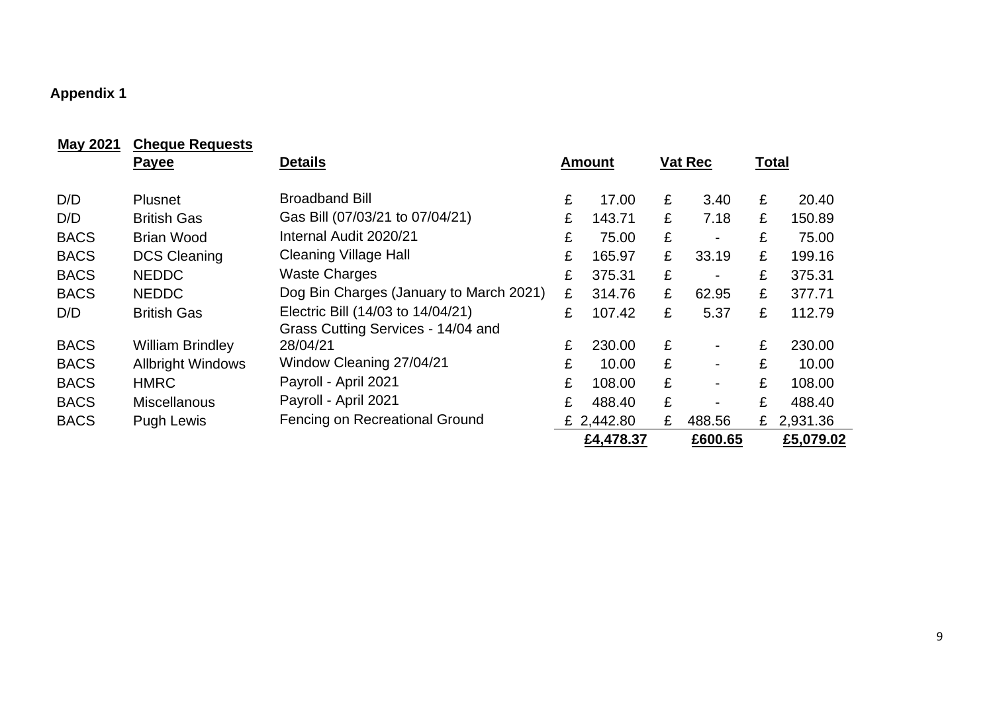# **Appendix 1**

<span id="page-8-0"></span>

| <b>May 2021</b> | <b>Cheque Requests</b>   |                                         |   |               |   |         |   |              |
|-----------------|--------------------------|-----------------------------------------|---|---------------|---|---------|---|--------------|
|                 | <b>Payee</b>             | <b>Details</b>                          |   | <b>Amount</b> |   | Vat Rec |   | <b>Total</b> |
|                 |                          |                                         |   |               |   |         |   |              |
| D/D             | <b>Plusnet</b>           | <b>Broadband Bill</b>                   | £ | 17.00         | £ | 3.40    | £ | 20.40        |
| D/D             | <b>British Gas</b>       | Gas Bill (07/03/21 to 07/04/21)         | £ | 143.71        | £ | 7.18    | £ | 150.89       |
| <b>BACS</b>     | <b>Brian Wood</b>        | Internal Audit 2020/21                  | £ | 75.00         | £ | -       | £ | 75.00        |
| <b>BACS</b>     | <b>DCS Cleaning</b>      | <b>Cleaning Village Hall</b>            | £ | 165.97        | £ | 33.19   | £ | 199.16       |
| <b>BACS</b>     | <b>NEDDC</b>             | <b>Waste Charges</b>                    | £ | 375.31        | £ | ۰       | £ | 375.31       |
| <b>BACS</b>     | <b>NEDDC</b>             | Dog Bin Charges (January to March 2021) | £ | 314.76        | £ | 62.95   | £ | 377.71       |
| D/D             | <b>British Gas</b>       | Electric Bill (14/03 to 14/04/21)       | £ | 107.42        | £ | 5.37    | £ | 112.79       |
|                 |                          | Grass Cutting Services - 14/04 and      |   |               |   |         |   |              |
| <b>BACS</b>     | <b>William Brindley</b>  | 28/04/21                                | £ | 230.00        | £ |         | £ | 230.00       |
| <b>BACS</b>     | <b>Allbright Windows</b> | Window Cleaning 27/04/21                | £ | 10.00         | £ |         | £ | 10.00        |
| <b>BACS</b>     | <b>HMRC</b>              | Payroll - April 2021                    | £ | 108.00        | £ | ۰       | £ | 108.00       |
| <b>BACS</b>     | <b>Miscellanous</b>      | Payroll - April 2021                    | £ | 488.40        | £ |         | £ | 488.40       |
| <b>BACS</b>     | Pugh Lewis               | Fencing on Recreational Ground          |   | £ 2,442.80    | £ | 488.56  | £ | 2,931.36     |
|                 |                          |                                         |   | £4,478.37     |   | £600.65 |   | £5,079.02    |